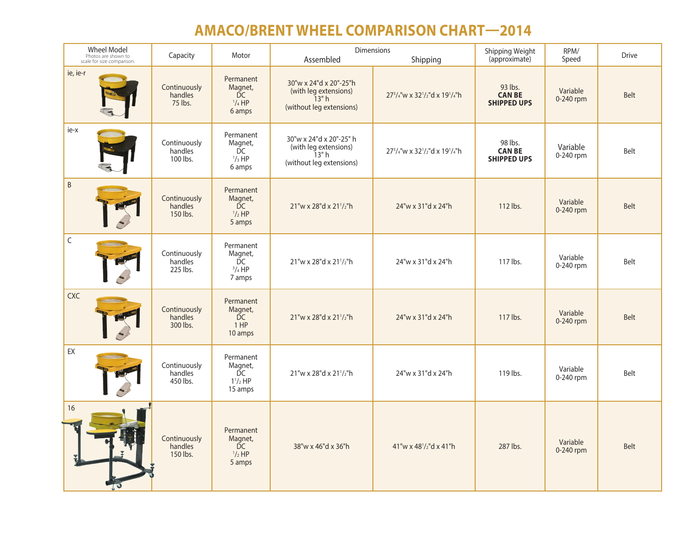## **AMACO/BRENT WHEEL COMPARISON CHART—2014**

| <b>Wheel Model</b><br>Photos are shown to<br>scale for size comparison. | Capacity                            | Motor                                                    | <b>Dimensions</b><br>Assembled<br>Shipping                                           |                             | Shipping Weight<br>(approximate)               | RPM/<br>Speed         | <b>Drive</b> |
|-------------------------------------------------------------------------|-------------------------------------|----------------------------------------------------------|--------------------------------------------------------------------------------------|-----------------------------|------------------------------------------------|-----------------------|--------------|
| ie, ie-r                                                                | Continuously<br>handles<br>75 lbs.  | Permanent<br>Magnet,<br>DC<br>$^{1}/_{4}$ HP<br>6 amps   | 30"w x 24"d x 20"-25"h<br>(with leg extensions)<br>13"h<br>(without leg extensions)  | 273/4"w x 321/2"d x 191/4"h | 93 lbs.<br><b>CAN BE</b><br><b>SHIPPED UPS</b> | Variable<br>0-240 rpm | Belt         |
| ie-x                                                                    | Continuously<br>handles<br>100 lbs. | Permanent<br>Magnet,<br>ĎС<br>$\frac{1}{3}HP$<br>6 amps  | 30"w x 24"d x 20"-25" h<br>(with leg extensions)<br>13"h<br>(without leg extensions) | 273/4"w x 321/2"d x 191/4"h | 98 lbs.<br><b>CAN BE</b><br><b>SHIPPED UPS</b> | Variable<br>0-240 rpm | Belt         |
| $\sf B$                                                                 | Continuously<br>handles<br>150 lbs. | Permanent<br>Magnet,<br>DC<br>$1/2$ HP<br>5 amps         | 21"w x 28"d x 211/2"h                                                                | 24"w x 31"d x 24"h          | 112 lbs.                                       | Variable<br>0-240 rpm | <b>Belt</b>  |
| $\mathsf C$                                                             | Continuously<br>handles<br>225 lbs. | Permanent<br>Magnet,<br>DC<br>$^{3}/_{4}$ HP<br>7 amps   | 21"w x 28"d x 211/2"h                                                                | 24"w x 31"d x 24"h          | 117 lbs.                                       | Variable<br>0-240 rpm | Belt         |
| <b>CXC</b>                                                              | Continuously<br>handles<br>300 lbs. | Permanent<br>Magnet,<br><b>DC</b><br>1 HP<br>10 amps     | 21"w x 28"d x 211/2"h                                                                | 24"w x 31"d x 24"h          | 117 lbs.                                       | Variable<br>0-240 rpm | Belt         |
| EX                                                                      | Continuously<br>handles<br>450 lbs. | Permanent<br>Magnet,<br>DC<br>$1^{1}/_{2}$ HP<br>15 amps | 21"w x 28"d x 211/2"h                                                                | 24"w x 31"d x 24"h          | 119 lbs.                                       | Variable<br>0-240 rpm | Belt         |
| 16                                                                      | Continuously<br>handles<br>150 lbs. | Permanent<br>Magnet,<br>DC<br>$1/2$ HP<br>5 amps         | 38"w x 46"d x 36"h                                                                   | 41"w x 481/2"d x 41"h       | 287 lbs.                                       | Variable<br>0-240 rpm | Belt         |